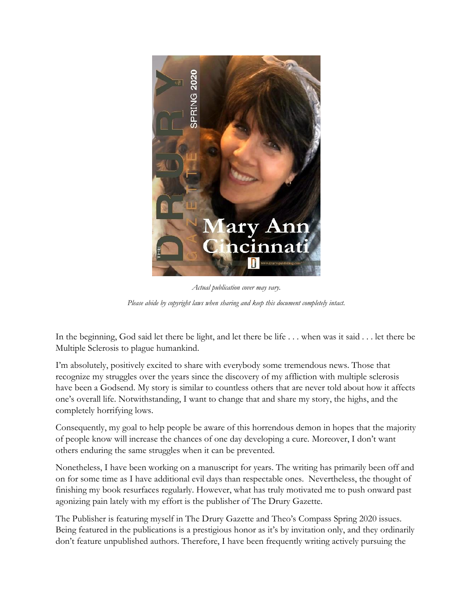

*Actual publication cover may vary. Please abide by copyright laws when sharing and keep this document completely intact.*

In the beginning, God said let there be light, and let there be life . . . when was it said . . . let there be Multiple Sclerosis to plague humankind.

I'm absolutely, positively excited to share with everybody some tremendous news. Those that recognize my struggles over the years since the discovery of my affliction with multiple sclerosis have been a Godsend. My story is similar to countless others that are never told about how it affects one's overall life. Notwithstanding, I want to change that and share my story, the highs, and the completely horrifying lows.

Consequently, my goal to help people be aware of this horrendous demon in hopes that the majority of people know will increase the chances of one day developing a cure. Moreover, I don't want others enduring the same struggles when it can be prevented.

Nonetheless, I have been working on a manuscript for years. The writing has primarily been off and on for some time as I have additional evil days than respectable ones. Nevertheless, the thought of finishing my book resurfaces regularly. However, what has truly motivated me to push onward past agonizing pain lately with my effort is the publisher of The Drury Gazette.

The Publisher is featuring myself in The Drury Gazette and Theo's Compass Spring 2020 issues. Being featured in the publications is a prestigious honor as it's by invitation only, and they ordinarily don't feature unpublished authors. Therefore, I have been frequently writing actively pursuing the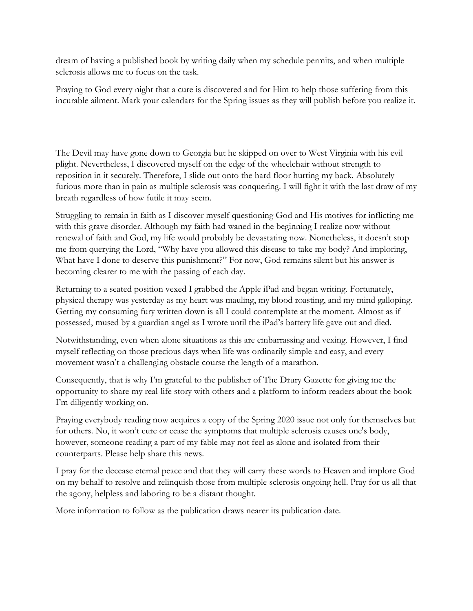dream of having a published book by writing daily when my schedule permits, and when multiple sclerosis allows me to focus on the task.

Praying to God every night that a cure is discovered and for Him to help those suffering from this incurable ailment. Mark your calendars for the Spring issues as they will publish before you realize it.

The Devil may have gone down to Georgia but he skipped on over to West Virginia with his evil plight. Nevertheless, I discovered myself on the edge of the wheelchair without strength to reposition in it securely. Therefore, I slide out onto the hard floor hurting my back. Absolutely furious more than in pain as multiple sclerosis was conquering. I will fight it with the last draw of my breath regardless of how futile it may seem.

Struggling to remain in faith as I discover myself questioning God and His motives for inflicting me with this grave disorder. Although my faith had waned in the beginning I realize now without renewal of faith and God, my life would probably be devastating now. Nonetheless, it doesn't stop me from querying the Lord, "Why have you allowed this disease to take my body? And imploring, What have I done to deserve this punishment?" For now, God remains silent but his answer is becoming clearer to me with the passing of each day.

Returning to a seated position vexed I grabbed the Apple iPad and began writing. Fortunately, physical therapy was yesterday as my heart was mauling, my blood roasting, and my mind galloping. Getting my consuming fury written down is all I could contemplate at the moment. Almost as if possessed, mused by a guardian angel as I wrote until the iPad's battery life gave out and died.

Notwithstanding, even when alone situations as this are embarrassing and vexing. However, I find myself reflecting on those precious days when life was ordinarily simple and easy, and every movement wasn't a challenging obstacle course the length of a marathon.

Consequently, that is why I'm grateful to the publisher of The Drury Gazette for giving me the opportunity to share my real-life story with others and a platform to inform readers about the book I'm diligently working on.

Praying everybody reading now acquires a copy of the Spring 2020 issue not only for themselves but for others. No, it won't cure or cease the symptoms that multiple sclerosis causes one's body, however, someone reading a part of my fable may not feel as alone and isolated from their counterparts. Please help share this news.

I pray for the decease eternal peace and that they will carry these words to Heaven and implore God on my behalf to resolve and relinquish those from multiple sclerosis ongoing hell. Pray for us all that the agony, helpless and laboring to be a distant thought.

More information to follow as the publication draws nearer its publication date.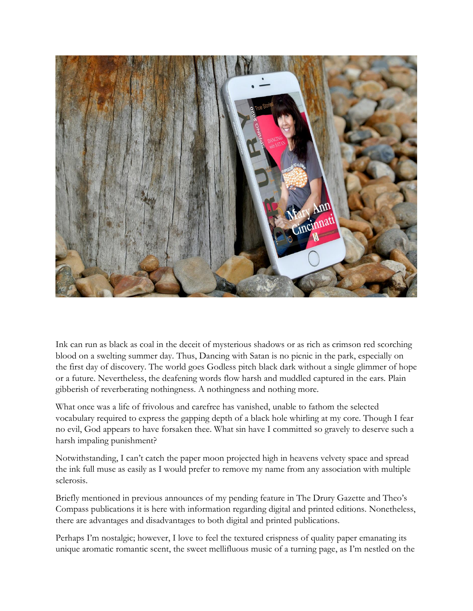

Ink can run as black as coal in the deceit of mysterious shadows or as rich as crimson red scorching blood on a swelting summer day. Thus, Dancing with Satan is no picnic in the park, especially on the first day of discovery. The world goes Godless pitch black dark without a single glimmer of hope or a future. Nevertheless, the deafening words flow harsh and muddled captured in the ears. Plain gibberish of reverberating nothingness. A nothingness and nothing more.

What once was a life of frivolous and carefree has vanished, unable to fathom the selected vocabulary required to express the gapping depth of a black hole whirling at my core. Though I fear no evil, God appears to have forsaken thee. What sin have I committed so gravely to deserve such a harsh impaling punishment?

Notwithstanding, I can't catch the paper moon projected high in heavens velvety space and spread the ink full muse as easily as I would prefer to remove my name from any association with multiple sclerosis.

Briefly mentioned in previous announces of my pending feature in The Drury Gazette and Theo's Compass publications it is here with information regarding digital and printed editions. Nonetheless, there are advantages and disadvantages to both digital and printed publications.

Perhaps I'm nostalgic; however, I love to feel the textured crispness of quality paper emanating its unique aromatic romantic scent, the sweet mellifluous music of a turning page, as I'm nestled on the